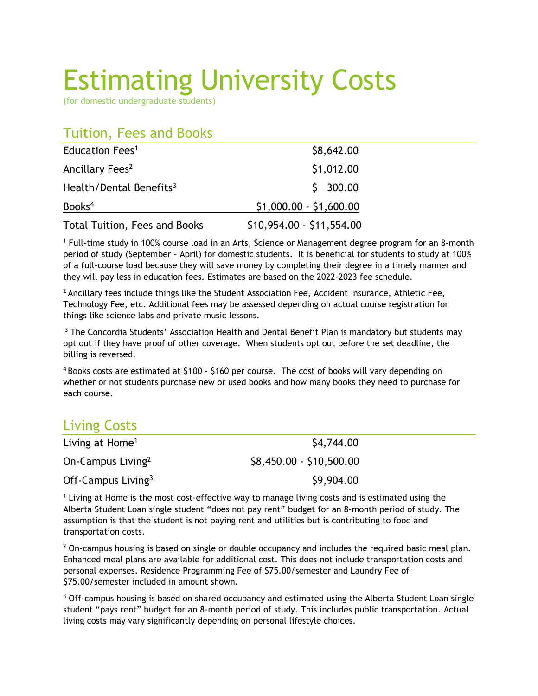## Estimating University Costs

(for domestic undergraduate students)

## Tuition, Fees and Books

| Education Fees <sup>1</sup>         | \$8,642.00                |
|-------------------------------------|---------------------------|
| Ancillary Fees <sup>2</sup>         | \$1,012.00                |
| Health/Dental Benefits <sup>3</sup> | \$300.00                  |
| Books <sup>4</sup>                  | $$1,000.00 - $1,600.00$   |
| Total Tuition, Fees and Books       | \$10,954.00 - \$11,554.00 |

<sup>1</sup> Full-time study in 100% course load in an Arts, Science or Management degree program for an 8-month period of study (September – April) for domestic students. It is beneficial for students to study at 100% of a full-course load because they will save money by completing their degree in a timely manner and they will pay less in education fees. Estimates are based on the 2022-2023 fee schedule.

 $<sup>2</sup>$  Ancillary fees include things like the Student Association Fee, Accident Insurance, Athletic Fee,</sup> Technology Fee, etc. Additional fees may be assessed depending on actual course registration for things like science labs and private music lessons.

<sup>3</sup> The Concordia Students' Association Health and Dental Benefit Plan is mandatory but students may opt out if they have proof of other coverage. When students opt out before the set deadline, the billing is reversed.

 $4$  Books costs are estimated at \$100 - \$160 per course. The cost of books will vary depending on whether or not students purchase new or used books and how many books they need to purchase for each course.

## Living Costs

| Living at Home <sup>1</sup>   | \$4,744.00               |
|-------------------------------|--------------------------|
| On-Campus Living <sup>2</sup> | \$8,450.00 - \$10,500.00 |
| Off-Campus Living $3$         | \$9,904.00               |

<sup>1</sup> Living at Home is the most cost-effective way to manage living costs and is estimated using the Alberta Student Loan single student "does not pay rent" budget for an 8-month period of study. The assumption is that the student is not paying rent and utilities but is contributing to food and transportation costs.

 $<sup>2</sup>$  On-campus housing is based on single or double occupancy and includes the required basic meal plan.</sup> Enhanced meal plans are available for additional cost. This does not include transportation costs and personal expenses. Residence Programming Fee of \$75.00/semester and Laundry Fee of \$75.00/semester included in amount shown.

<sup>3</sup> Off-campus housing is based on shared occupancy and estimated using the Alberta Student Loan single student "pays rent" budget for an 8-month period of study. This includes public transportation. Actual living costs may vary significantly depending on personal lifestyle choices.